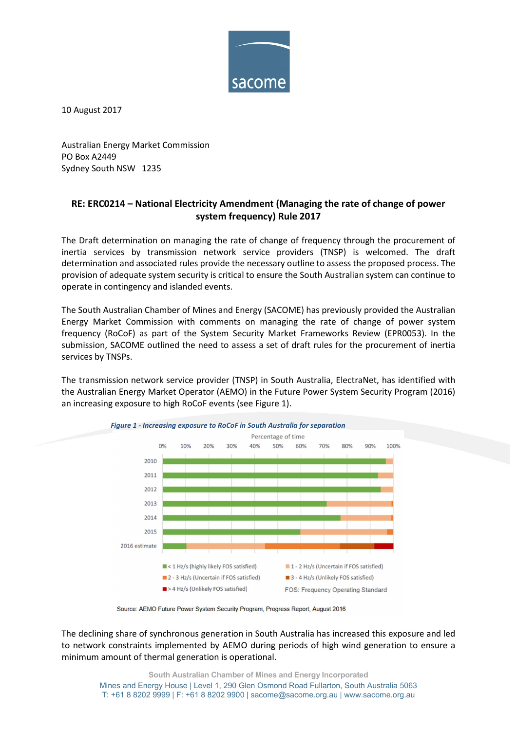

10 August 2017

Australian Energy Market Commission PO Box A2449 Sydney South NSW 1235

## RE: ERC0214 – National Electricity Amendment (Managing the rate of change of power system frequency) Rule 2017

The Draft determination on managing the rate of change of frequency through the procurement of inertia services by transmission network service providers (TNSP) is welcomed. The draft determination and associated rules provide the necessary outline to assess the proposed process. The provision of adequate system security is critical to ensure the South Australian system can continue to operate in contingency and islanded events.

The South Australian Chamber of Mines and Energy (SACOME) has previously provided the Australian Energy Market Commission with comments on managing the rate of change of power system frequency (RoCoF) as part of the System Security Market Frameworks Review (EPR0053). In the submission, SACOME outlined the need to assess a set of draft rules for the procurement of inertia services by TNSPs.

The transmission network service provider (TNSP) in South Australia, ElectraNet, has identified with the Australian Energy Market Operator (AEMO) in the Future Power System Security Program (2016) an increasing exposure to high RoCoF events (see Figure 1).





The declining share of synchronous generation in South Australia has increased this exposure and led to network constraints implemented by AEMO during periods of high wind generation to ensure a minimum amount of thermal generation is operational.